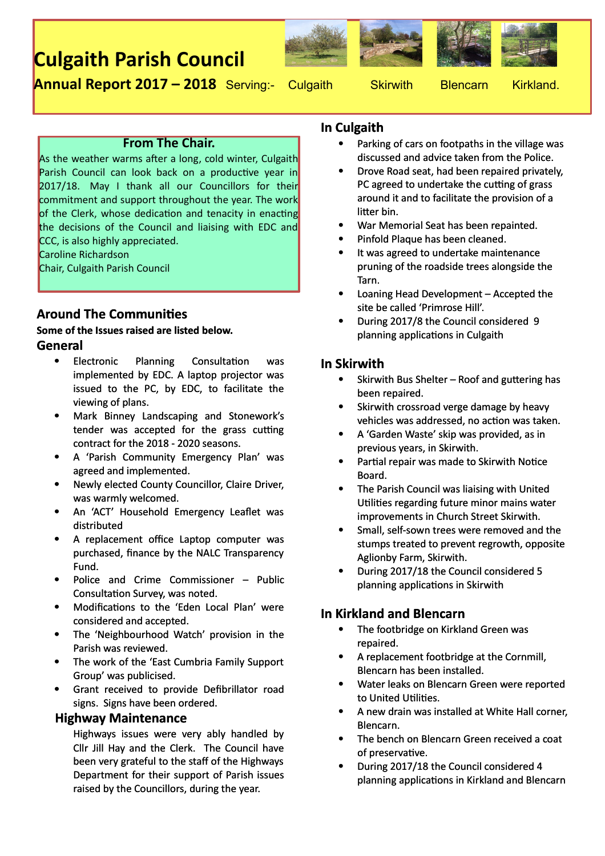# **Culgaith Parish Council**









**Annual Report 2017 – 2018** Serving:- Culgaith Skirwith Blencarn Kirkland.

#### **From The Chair.**

As the weather warms after a long, cold winter, Culgaith Parish Council can look back on a productive year in 2017/18. May I thank all our Councillors for their commitment and support throughout the year. The work of the Clerk, whose dedication and tenacity in enacting the decisions of the Council and liaising with EDC and CCC, is also highly appreciated.

Caroline Richardson

Chair, Culgaith Parish Council

## **Around The Communities**

#### **Some of the Issues raised are listed below. General**

- Electronic Planning Consultation was implemented by EDC. A laptop projector was issued to the PC, by EDC, to facilitate the viewing of plans.
- Mark Binney Landscaping and Stonework's tender was accepted for the grass cutting contract for the 2018 - 2020 seasons.
- A 'Parish Community Emergency Plan' was agreed and implemented.
- Newly elected County Councillor, Claire Driver, was warmly welcomed.
- An 'ACT' Household Emergency Leaflet was distributed
- A replacement office Laptop computer was purchased, finance by the NALC Transparency Fund.
- Police and Crime Commissioner Public Consultation Survey, was noted.
- Modifications to the 'Eden Local Plan' were considered and accepted.
- The 'Neighbourhood Watch' provision in the Parish was reviewed.
- The work of the 'East Cumbria Family Support Group' was publicised.
- Grant received to provide Defibrillator road signs. Signs have been ordered.

#### **Highway Maintenance**

Highways issues were very ably handled by Cllr Jill Hay and the Clerk. The Council have been very grateful to the staff of the Highways Department for their support of Parish issues raised by the Councillors, during the year.

#### **In Culgaith**

- Parking of cars on footpaths in the village was discussed and advice taken from the Police.
- Drove Road seat, had been repaired privately, PC agreed to undertake the cutting of grass around it and to facilitate the provision of a litter bin.
- War Memorial Seat has been repainted.
- Pinfold Plaque has been cleaned.
- It was agreed to undertake maintenance pruning of the roadside trees alongside the Tarn.
- Loaning Head Development Accepted the site be called 'Primrose Hill'.
- During 2017/8 the Council considered 9 planning applications in Culgaith

#### **In Skirwith**

- $\bullet$  Skirwith Bus Shelter Roof and guttering has been repaired.
- Skirwith crossroad verge damage by heavy vehicles was addressed, no action was taken.
- A 'Garden Waste' skip was provided, as in previous years, in Skirwith.
- Partial repair was made to Skirwith Notice Board.
- The Parish Council was liaising with United Utilities regarding future minor mains water improvements in Church Street Skirwith.
- Small, self-sown trees were removed and the stumps treated to prevent regrowth, opposite Aglionby Farm, Skirwith.
- During 2017/18 the Council considered 5 planning applications in Skirwith

## **In Kirkland and Blencarn**

- The footbridge on Kirkland Green was repaired.
- A replacement footbridge at the Cornmill, Blencarn has been installed.
- Water leaks on Blencarn Green were reported to United Utilities.
- A new drain was installed at White Hall corner, Blencarn.
- The bench on Blencarn Green received a coat of preservative.
- During 2017/18 the Council considered 4 planning applications in Kirkland and Blencarn